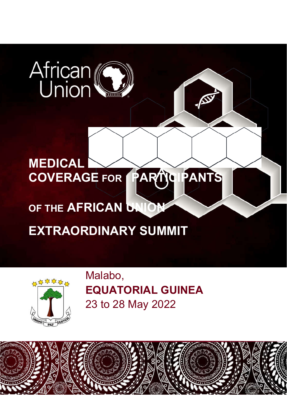# African

# **MEDICAL COVERAGE FOR PARTICIPANTS**

# **OF THE AFRICAN UNION**

# **EXTRAORDINARY SUMMIT**



Malabo, **EQUATORIAL GUINEA** 23 to 28 May 2022

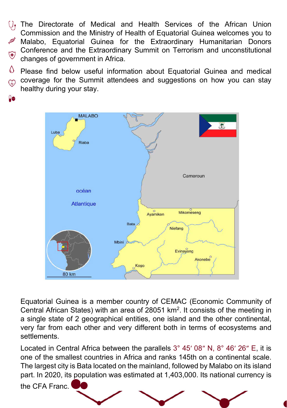The Directorate of Medical and Health Services of the African Union Commission and the Ministry of Health of Equatorial Guinea welcomes you to Malabo, Equatorial Guinea for the Extraordinary Humanitarian Donors Conference and the Extraordinary Summit on Terrorism and unconstitutional  $\bigoplus$ changes of government in Africa.

 $\langle \rangle$ Please find below useful information about Equatorial Guinea and medical coverage for the Summit attendees and suggestions on how you can stay  $\mathbb{Q}$ healthy during your stay.



Equatorial Guinea is a member country of CEMAC (Economic Community of Central African States) with an area of 28051 km2. It consists of the meeting in a single state of 2 geographical entities, one island and the other continental, very far from each other and very different both in terms of ecosystems and settlements.

Located in Central Africa between the parallels 3° 45′ 08″ N, 8° 46′ 26″ E, it is one of the smallest countries in Africa and ranks 145th on a continental scale. The largest city is Bata located on the mainland, followed by Malabo on its island part. In 2020, its population was estimated at 1,403,000. Its national currency is

the CFA Franc.

**De** 

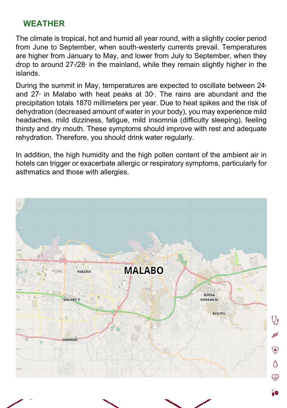# **WEATHER**

The climate is tropical, hot and humid all year round, with a slightly cooler period from June to September, when south-westerly currents prevail. Temperatures are higher from January to May, and lower from July to September, when they drop to around 27<sup>,</sup>/28<sub>°</sub> in the mainland, while they remain slightly higher in the islands.

During the summit in May, temperatures are expected to oscillate between  $24^{\circ}$ and 27 $^{\circ}$  in Malabo with heat peaks at 30 $^{\circ}$ . The rains are abundant and the precipitation totals 1870 millimeters per year. Due to heat spikes and the risk of dehydration (decreased amount of water in your body), you may experience mild headaches, mild dizziness, fatigue, mild insomnia (difficulty sleeping), feeling thirsty and dry mouth. These symptoms should improve with rest and adequate rehydration. Therefore, you should drink water regularly.

In addition, the high humidity and the high pollen content of the ambient air in hotels can trigger or exacerbate allergic or respiratory symptoms, particularly for asthmatics and those with allergies.

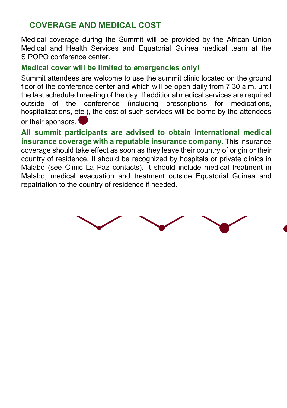# **COVERAGE AND MEDICAL COST**

Medical coverage during the Summit will be provided by the African Union Medical and Health Services and Equatorial Guinea medical team at the SIPOPO conference center.

### **Medical cover will be limited to emergencies only!**

Summit attendees are welcome to use the summit clinic located on the ground floor of the conference center and which will be open daily from 7:30 a.m. until the last scheduled meeting of the day. If additional medical services are required outside of the conference (including prescriptions for medications, hospitalizations, etc.), the cost of such services will be borne by the attendees or their sponsors.

**All summit participants are advised to obtain international medical insurance coverage with a reputable insurance company**. This insurance coverage should take effect as soon as they leave their country of origin or their country of residence. It should be recognized by hospitals or private clinics in Malabo (see Clinic La Paz contacts). It should include medical treatment in Malabo, medical evacuation and treatment outside Equatorial Guinea and repatriation to the country of residence if needed.

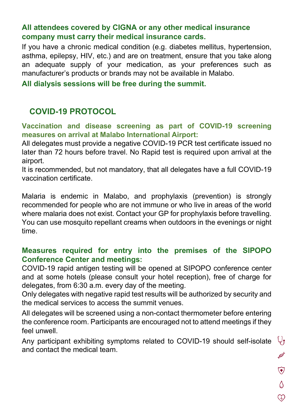## **All attendees covered by CIGNA or any other medical insurance company must carry their medical insurance cards.**

If you have a chronic medical condition (e.g. diabetes mellitus, hypertension, asthma, epilepsy, HIV, etc.) and are on treatment, ensure that you take along an adequate supply of your medication, as your preferences such as manufacturer's products or brands may not be available in Malabo.

**All dialysis sessions will be free during the summit.**

# **COVID-19 PROTOCOL**

#### **Vaccination and disease screening as part of COVID-19 screening measures on arrival at Malabo International Airport:**

All delegates must provide a negative COVID-19 PCR test certificate issued no later than 72 hours before travel. No Rapid test is required upon arrival at the airport.

It is recommended, but not mandatory, that all delegates have a full COVID-19 vaccination certificate.

Malaria is endemic in Malabo, and prophylaxis (prevention) is strongly recommended for people who are not immune or who live in areas of the world where malaria does not exist. Contact your GP for prophylaxis before travelling. You can use mosquito repellant creams when outdoors in the evenings or night time.

## **Measures required for entry into the premises of the SIPOPO Conference Center and meetings:**

COVID-19 rapid antigen testing will be opened at SIPOPO conference center and at some hotels (please consult your hotel reception), free of charge for delegates, from 6:30 a.m. every day of the meeting.

Only delegates with negative rapid test results will be authorized by security and the medical services to access the summit venues.

All delegates will be screened using a non-contact thermometer before entering the conference room. Participants are encouraged not to attend meetings if they feel unwell.

 $Q_{\bm{y}}$ Any participant exhibiting symptoms related to COVID-19 should self-isolate and contact the medical team.

Asy  $\bigcirc$  $\Diamond$  $\odot$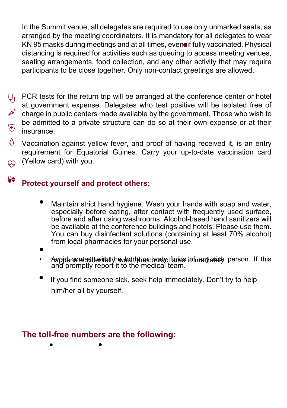In the Summit venue, all delegates are required to use only unmarked seats, as arranged by the meeting coordinators. It is mandatory for all delegates to wear KN 95 masks during meetings and at all times, even if fully vaccinated. Physical distancing is required for activities such as queuing to access meeting venues, seating arrangements, food collection, and any other activity that may require participants to be close together. Only non-contact greetings are allowed.

- PCR tests for the return trip will be arranged at the conference center or hotel  $\mathbb{U}_{\mathbf{f}}$ at government expense. Delegates who test positive will be isolated free of charge in public centers made available by the government. Those who wish to be admitted to a private structure can do so at their own expense or at their  $\widehat{\mathbf{y}}$ insurance.
- $\wedge$ Vaccination against yellow fever, and proof of having received it, is an entry requirement for Equatorial Guinea. Carry your up-to-date vaccination card (Yellow card) with you. 99

#### $\theta$ **Protect yourself and protect others:**

• Maintain strict hand hygiene. Wash your hands with soap and water, especially before eating, after contact with frequently used surface, before and after using washrooms. Alcohol-based hand sanitizers will be available at the conference buildings and hotels. Please use them. You can buy disinfectant solutions (containing at least 70% alcohol) from local pharmacies for your personal use.

•

- Avoid contact with the body or body fluids infractuation person. If this and promptly report it to the medical team.
- If you find someone sick, seek help immediately. Don't try to help him/her all by yourself.

# **The toll-free numbers are the following:**

• •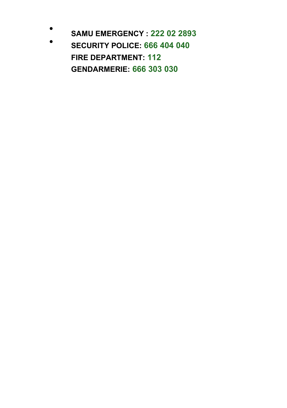- •
- **SAMU EMERGENCY : 222 02 2893 SECURITY POLICE: 666 404 040 FIRE DEPARTMENT: 112 GENDARMERIE: 666 303 030**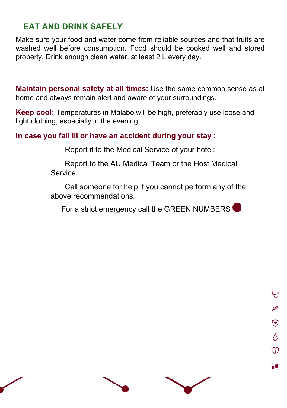# **EAT AND DRINK SAFELY**

Make sure your food and water come from reliable sources and that fruits are washed well before consumption. Food should be cooked well and stored properly. Drink enough clean water, at least 2 L every day.

**Maintain personal safety at all times:** Use the same common sense as at home and always remain alert and aware of your surroundings.

**Keep cool:** Temperatures in Malabo will be high, preferably use loose and light clothing, especially in the evening.

#### **In case you fall ill or have an accident during your stay :**

Report it to the Medical Service of your hotel;

Report to the AU Medical Team or the Host Medical Service.

Call someone for help if you cannot perform any of the above recommendations.

For a strict emergency call the GREEN NUMBERS

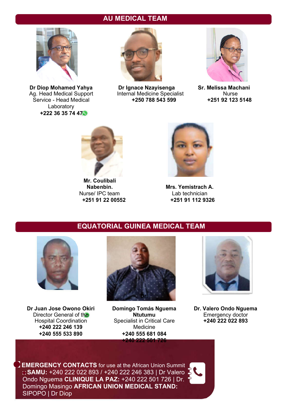#### **AU MEDICAL TEAM**



 $\overline{\text{Service - Head Media}}$ Laboratory **+222 36 35 74 47**



**Dr Diop Mohamed Yahya Dr Ignace Nzayisenga Sr. Melissa Machani** Ag. Head Medical Support Internal Medicine Specialist Murse<br>
Service - Head Medical **1996** +250 788 543 599 +251 92 123 5148





**Mr. Coulibali**  Nurse/ IPC team<br>+251 91 22 00552



**Mrs. Yemistrach A.**<br>Lab technician **+251 91 22 00552 +251 91 112 9326**

#### **EQUATORIAL GUINEA MEDICAL TEAM**



**Dr Juan Jose Owono Okiri +240 222 246 139<br>+240 555 533 890** 



**Domingo Tomás Nguema Dr. Valero Ondo Nguema** Director General of the **Ntutumu** Emergency doctor<br>
Hospital Coordination Specialist in Critical Care **+240 222 022 893** Specialist in Critical Care<br>Medicine **+240 555 533 890 +240 555 681 084 +240 222 501 726**



**EMERGENCY CONTACTS** for use at the African Union Summit **SAMU:** +240 222 022 893 / +240 222 246 383 | Dr Valero Ondo Nguema **CLINIQUE LA PAZ:** +240 222 501 726 | Dr. Domingo Masingo **AFRICAN UNION MEDICAL STAND:** SIPOPO | Dr Diop